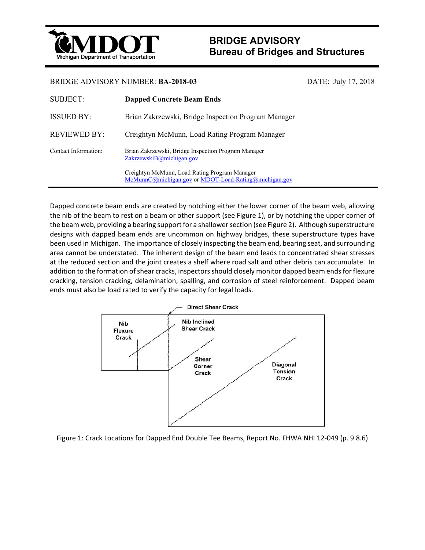

## **BRIDGE ADVISORY Bureau of Bridges and Structures**

## BRIDGE ADVISORY NUMBER: **BA-2018-03** DATE: July 17, 2018

| <b>SUBJECT:</b>      | <b>Dapped Concrete Beam Ends</b>                                                                       |
|----------------------|--------------------------------------------------------------------------------------------------------|
| <b>ISSUED BY:</b>    | Brian Zakrzewski, Bridge Inspection Program Manager                                                    |
| <b>REVIEWED BY:</b>  | Creightyn McMunn, Load Rating Program Manager                                                          |
| Contact Information: | Brian Zakrzewski, Bridge Inspection Program Manager<br>Zakrzewski $B(\hat{\omega})$ michigan.gov       |
|                      | Creightyn McMunn, Load Rating Program Manager<br>McMunnC@michigan.gov or MDOT-Load-Rating@michigan.gov |

Dapped concrete beam ends are created by notching either the lower corner of the beam web, allowing the nib of the beam to rest on a beam or other support (see Figure 1), or by notching the upper corner of the beam web, providing a bearing support for a shallower section (see Figure 2). Although superstructure designs with dapped beam ends are uncommon on highway bridges, these superstructure types have been used in Michigan. The importance of closely inspecting the beam end, bearing seat, and surrounding area cannot be understated. The inherent design of the beam end leads to concentrated shear stresses at the reduced section and the joint creates a shelf where road salt and other debris can accumulate. In addition to the formation of shear cracks, inspectors should closely monitor dapped beam ends for flexure cracking, tension cracking, delamination, spalling, and corrosion of steel reinforcement. Dapped beam ends must also be load rated to verify the capacity for legal loads.



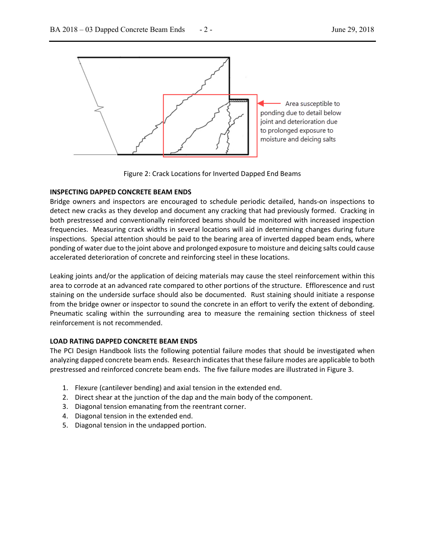

Figure 2: Crack Locations for Inverted Dapped End Beams

## **INSPECTING DAPPED CONCRETE BEAM ENDS**

Bridge owners and inspectors are encouraged to schedule periodic detailed, hands‐on inspections to detect new cracks as they develop and document any cracking that had previously formed. Cracking in both prestressed and conventionally reinforced beams should be monitored with increased inspection frequencies. Measuring crack widths in several locations will aid in determining changes during future inspections. Special attention should be paid to the bearing area of inverted dapped beam ends, where ponding of water due to the joint above and prolonged exposure to moisture and deicing salts could cause accelerated deterioration of concrete and reinforcing steel in these locations.

Leaking joints and/or the application of deicing materials may cause the steel reinforcement within this area to corrode at an advanced rate compared to other portions of the structure. Efflorescence and rust staining on the underside surface should also be documented. Rust staining should initiate a response from the bridge owner or inspector to sound the concrete in an effort to verify the extent of debonding. Pneumatic scaling within the surrounding area to measure the remaining section thickness of steel reinforcement is not recommended.

## **LOAD RATING DAPPED CONCRETE BEAM ENDS**

The PCI Design Handbook lists the following potential failure modes that should be investigated when analyzing dapped concrete beam ends. Research indicates that these failure modes are applicable to both prestressed and reinforced concrete beam ends. The five failure modes are illustrated in Figure 3.

- 1. Flexure (cantilever bending) and axial tension in the extended end.
- 2. Direct shear at the junction of the dap and the main body of the component.
- 3. Diagonal tension emanating from the reentrant corner.
- 4. Diagonal tension in the extended end.
- 5. Diagonal tension in the undapped portion.